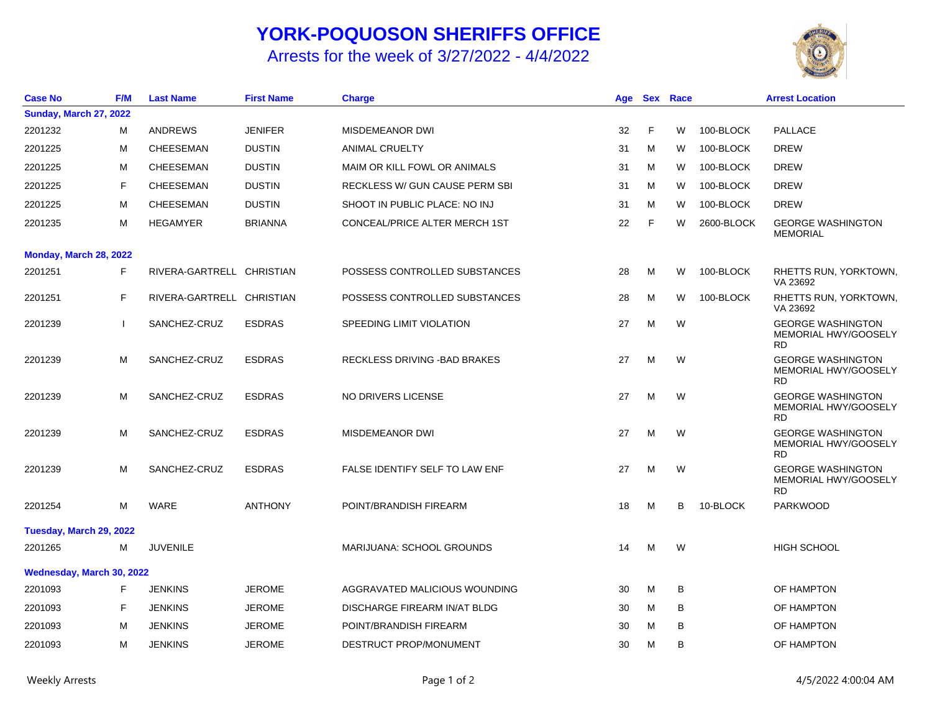## **YORK-POQUOSON SHERIFFS OFFICE**

Arrests for the week of 3/27/2022 - 4/4/2022



| <b>Case No</b>                | <b>F/M</b> | <b>Last Name</b>          | <b>First Name</b> | <b>Charge</b>                  | Age | <b>Sex</b> | Race |            | <b>Arrest Location</b>                                        |
|-------------------------------|------------|---------------------------|-------------------|--------------------------------|-----|------------|------|------------|---------------------------------------------------------------|
| <b>Sunday, March 27, 2022</b> |            |                           |                   |                                |     |            |      |            |                                                               |
| 2201232                       | м          | <b>ANDREWS</b>            | <b>JENIFER</b>    | <b>MISDEMEANOR DWI</b>         | 32  | F          | W    | 100-BLOCK  | <b>PALLACE</b>                                                |
| 2201225                       | м          | <b>CHEESEMAN</b>          | <b>DUSTIN</b>     | <b>ANIMAL CRUELTY</b>          | 31  | M          | W    | 100-BLOCK  | <b>DREW</b>                                                   |
| 2201225                       | м          | CHEESEMAN                 | <b>DUSTIN</b>     | MAIM OR KILL FOWL OR ANIMALS   | 31  | м          | W    | 100-BLOCK  | <b>DREW</b>                                                   |
| 2201225                       | F          | CHEESEMAN                 | <b>DUSTIN</b>     | RECKLESS W/ GUN CAUSE PERM SBI | 31  | M          | W    | 100-BLOCK  | <b>DREW</b>                                                   |
| 2201225                       | M          | <b>CHEESEMAN</b>          | <b>DUSTIN</b>     | SHOOT IN PUBLIC PLACE: NO INJ  | 31  | M          | W    | 100-BLOCK  | <b>DREW</b>                                                   |
| 2201235                       | M          | <b>HEGAMYER</b>           | <b>BRIANNA</b>    | CONCEAL/PRICE ALTER MERCH 1ST  | 22  | F          | W    | 2600-BLOCK | <b>GEORGE WASHINGTON</b><br><b>MEMORIAL</b>                   |
| Monday, March 28, 2022        |            |                           |                   |                                |     |            |      |            |                                                               |
| 2201251                       | F          | RIVERA-GARTRELL CHRISTIAN |                   | POSSESS CONTROLLED SUBSTANCES  | 28  | м          | W    | 100-BLOCK  | RHETTS RUN, YORKTOWN,<br>VA 23692                             |
| 2201251                       | F          | RIVERA-GARTRELL CHRISTIAN |                   | POSSESS CONTROLLED SUBSTANCES  | 28  | M          | W    | 100-BLOCK  | RHETTS RUN, YORKTOWN,<br>VA 23692                             |
| 2201239                       |            | SANCHEZ-CRUZ              | <b>ESDRAS</b>     | SPEEDING LIMIT VIOLATION       | 27  | M          | W    |            | <b>GEORGE WASHINGTON</b><br>MEMORIAL HWY/GOOSELY<br><b>RD</b> |
| 2201239                       | M          | SANCHEZ-CRUZ              | <b>ESDRAS</b>     | RECKLESS DRIVING - BAD BRAKES  | 27  | M          | W    |            | <b>GEORGE WASHINGTON</b><br>MEMORIAL HWY/GOOSELY<br><b>RD</b> |
| 2201239                       | M          | SANCHEZ-CRUZ              | <b>ESDRAS</b>     | NO DRIVERS LICENSE             | 27  | M          | W    |            | <b>GEORGE WASHINGTON</b><br>MEMORIAL HWY/GOOSELY<br><b>RD</b> |
| 2201239                       | М          | SANCHEZ-CRUZ              | <b>ESDRAS</b>     | <b>MISDEMEANOR DWI</b>         | 27  | м          | W    |            | <b>GEORGE WASHINGTON</b><br>MEMORIAL HWY/GOOSELY<br><b>RD</b> |
| 2201239                       | M          | SANCHEZ-CRUZ              | <b>ESDRAS</b>     | FALSE IDENTIFY SELF TO LAW ENF | 27  | м          | W    |            | <b>GEORGE WASHINGTON</b><br>MEMORIAL HWY/GOOSELY<br><b>RD</b> |
| 2201254                       | M          | <b>WARE</b>               | <b>ANTHONY</b>    | POINT/BRANDISH FIREARM         | 18  | M          | В    | 10-BLOCK   | <b>PARKWOOD</b>                                               |
| Tuesday, March 29, 2022       |            |                           |                   |                                |     |            |      |            |                                                               |
| 2201265                       | М          | <b>JUVENILE</b>           |                   | MARIJUANA: SCHOOL GROUNDS      | 14  | M          | W    |            | <b>HIGH SCHOOL</b>                                            |
| Wednesday, March 30, 2022     |            |                           |                   |                                |     |            |      |            |                                                               |
| 2201093                       | F          | JENKINS                   | <b>JEROME</b>     | AGGRAVATED MALICIOUS WOUNDING  | 30  | M          | В    |            | OF HAMPTON                                                    |
| 2201093                       | F          | <b>JENKINS</b>            | <b>JEROME</b>     | DISCHARGE FIREARM IN/AT BLDG   | 30  | M          | B    |            | OF HAMPTON                                                    |
| 2201093                       | M          | <b>JENKINS</b>            | <b>JEROME</b>     | POINT/BRANDISH FIREARM         | 30  | м          | B    |            | OF HAMPTON                                                    |
| 2201093                       | М          | JENKINS                   | <b>JEROME</b>     | DESTRUCT PROP/MONUMENT         | 30  | M          | B    |            | OF HAMPTON                                                    |